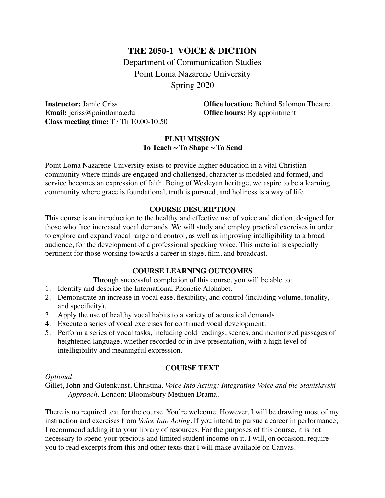# **TRE 2050-1 VOICE & DICTION** Department of Communication Studies Point Loma Nazarene University Spring 2020

**Email:** jcriss@pointloma.edu **Office hours:** By appointment **Class meeting time:** T / Th 10:00-10:50

**Instructor:** Jamie Criss **Office location:** Behind Salomon Theatre

# **PLNU MISSION To Teach ~ To Shape ~ To Send**

Point Loma Nazarene University exists to provide higher education in a vital Christian community where minds are engaged and challenged, character is modeled and formed, and service becomes an expression of faith. Being of Wesleyan heritage, we aspire to be a learning community where grace is foundational, truth is pursued, and holiness is a way of life.

# **COURSE DESCRIPTION**

This course is an introduction to the healthy and effective use of voice and diction, designed for those who face increased vocal demands. We will study and employ practical exercises in order to explore and expand vocal range and control, as well as improving intelligibility to a broad audience, for the development of a professional speaking voice. This material is especially pertinent for those working towards a career in stage, film, and broadcast.

## **COURSE LEARNING OUTCOMES**

Through successful completion of this course, you will be able to:

- 1. Identify and describe the International Phonetic Alphabet.
- 2. Demonstrate an increase in vocal ease, flexibility, and control (including volume, tonality, and specificity).
- 3. Apply the use of healthy vocal habits to a variety of acoustical demands.
- 4. Execute a series of vocal exercises for continued vocal development.
- 5. Perform a series of vocal tasks, including cold readings, scenes, and memorized passages of heightened language, whether recorded or in live presentation, with a high level of intelligibility and meaningful expression.

# **COURSE TEXT**

## *Optional*

Gillet, John and Gutenkunst, Christina. *Voice Into Acting: Integrating Voice and the Stanislavski Approach.* London: Bloomsbury Methuen Drama.

There is no required text for the course. You're welcome. However, I will be drawing most of my instruction and exercises from *Voice Into Acting.* If you intend to pursue a career in performance, I recommend adding it to your library of resources. For the purposes of this course, it is not necessary to spend your precious and limited student income on it. I will, on occasion, require you to read excerpts from this and other texts that I will make available on Canvas.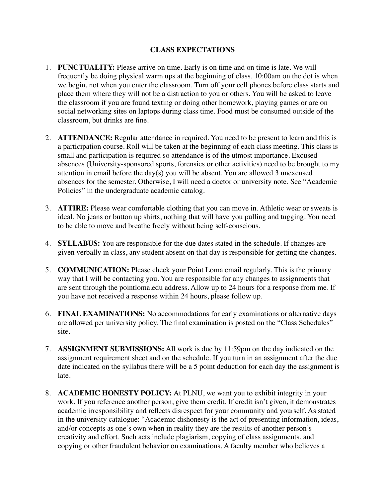# **CLASS EXPECTATIONS**

- 1. **PUNCTUALITY:** Please arrive on time. Early is on time and on time is late. We will frequently be doing physical warm ups at the beginning of class. 10:00am on the dot is when we begin, not when you enter the classroom. Turn off your cell phones before class starts and place them where they will not be a distraction to you or others. You will be asked to leave the classroom if you are found texting or doing other homework, playing games or are on social networking sites on laptops during class time. Food must be consumed outside of the classroom, but drinks are fine.
- 2. **ATTENDANCE:** Regular attendance in required. You need to be present to learn and this is a participation course. Roll will be taken at the beginning of each class meeting. This class is small and participation is required so attendance is of the utmost importance. Excused absences (University-sponsored sports, forensics or other activities) need to be brought to my attention in email before the day(s) you will be absent. You are allowed 3 unexcused absences for the semester. Otherwise, I will need a doctor or university note. See "Academic Policies" in the undergraduate academic catalog.
- 3. **ATTIRE:** Please wear comfortable clothing that you can move in. Athletic wear or sweats is ideal. No jeans or button up shirts, nothing that will have you pulling and tugging. You need to be able to move and breathe freely without being self-conscious.
- 4. **SYLLABUS:** You are responsible for the due dates stated in the schedule. If changes are given verbally in class, any student absent on that day is responsible for getting the changes.
- 5. **COMMUNICATION:** Please check your Point Loma email regularly. This is the primary way that I will be contacting you. You are responsible for any changes to assignments that are sent through the pointloma.edu address. Allow up to 24 hours for a response from me. If you have not received a response within 24 hours, please follow up.
- 6. **FINAL EXAMINATIONS:** No accommodations for early examinations or alternative days are allowed per university policy. The final examination is posted on the "Class Schedules" site.
- 7. **ASSIGNMENT SUBMISSIONS:** All work is due by 11:59pm on the day indicated on the assignment requirement sheet and on the schedule. If you turn in an assignment after the due date indicated on the syllabus there will be a 5 point deduction for each day the assignment is late.
- 8. **ACADEMIC HONESTY POLICY:** At PLNU, we want you to exhibit integrity in your work. If you reference another person, give them credit. If credit isn't given, it demonstrates academic irresponsibility and reflects disrespect for your community and yourself. As stated in the university catalogue: "Academic dishonesty is the act of presenting information, ideas, and/or concepts as one's own when in reality they are the results of another person's creativity and effort. Such acts include plagiarism, copying of class assignments, and copying or other fraudulent behavior on examinations. A faculty member who believes a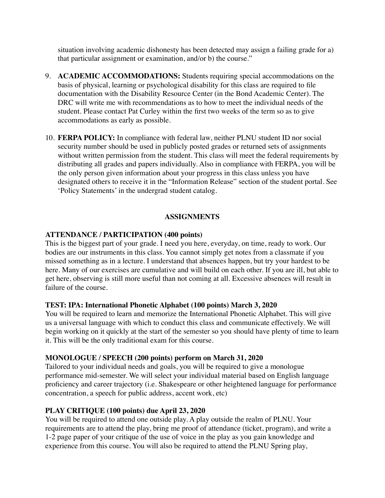situation involving academic dishonesty has been detected may assign a failing grade for a) that particular assignment or examination, and/or b) the course."

- 9. **ACADEMIC ACCOMMODATIONS:** Students requiring special accommodations on the basis of physical, learning or psychological disability for this class are required to file documentation with the Disability Resource Center (in the Bond Academic Center). The DRC will write me with recommendations as to how to meet the individual needs of the student. Please contact Pat Curley within the first two weeks of the term so as to give accommodations as early as possible.
- 10. **FERPA POLICY:** In compliance with federal law, neither PLNU student ID nor social security number should be used in publicly posted grades or returned sets of assignments without written permission from the student. This class will meet the federal requirements by distributing all grades and papers individually. Also in compliance with FERPA, you will be the only person given information about your progress in this class unless you have designated others to receive it in the "Information Release" section of the student portal. See 'Policy Statements' in the undergrad student catalog.

## **ASSIGNMENTS**

## **ATTENDANCE / PARTICIPATION (400 points)**

This is the biggest part of your grade. I need you here, everyday, on time, ready to work. Our bodies are our instruments in this class. You cannot simply get notes from a classmate if you missed something as in a lecture. I understand that absences happen, but try your hardest to be here. Many of our exercises are cumulative and will build on each other. If you are ill, but able to get here, observing is still more useful than not coming at all. Excessive absences will result in failure of the course.

## **TEST: IPA: International Phonetic Alphabet (100 points) March 3, 2020**

You will be required to learn and memorize the International Phonetic Alphabet. This will give us a universal language with which to conduct this class and communicate effectively. We will begin working on it quickly at the start of the semester so you should have plenty of time to learn it. This will be the only traditional exam for this course.

# **MONOLOGUE / SPEECH (200 points) perform on March 31, 2020**

Tailored to your individual needs and goals, you will be required to give a monologue performance mid-semester. We will select your individual material based on English language proficiency and career trajectory (i.e. Shakespeare or other heightened language for performance concentration, a speech for public address, accent work, etc)

# **PLAY CRITIQUE (100 points) due April 23, 2020**

You will be required to attend one outside play. A play outside the realm of PLNU. Your requirements are to attend the play, bring me proof of attendance (ticket, program), and write a 1-2 page paper of your critique of the use of voice in the play as you gain knowledge and experience from this course. You will also be required to attend the PLNU Spring play,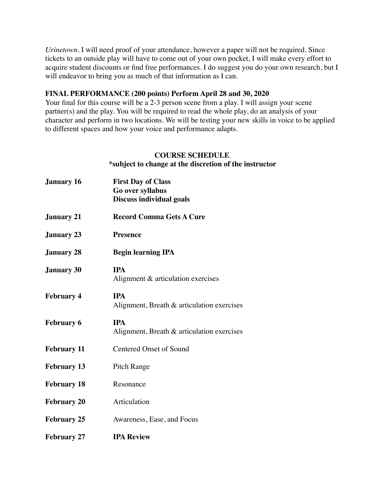*Urinetown*. I will need proof of your attendance, however a paper will not be required. Since tickets to an outside play will have to come out of your own pocket, I will make every effort to acquire student discounts or find free performances. I do suggest you do your own research, but I will endeavor to bring you as much of that information as I can.

## **FINAL PERFORMANCE (200 points) Perform April 28 and 30, 2020**

Your final for this course will be a 2-3 person scene from a play. I will assign your scene partner(s) and the play. You will be required to read the whole play, do an analysis of your character and perform in two locations. We will be testing your new skills in voice to be applied to different spaces and how your voice and performance adapts.

## **COURSE SCHEDULE \*subject to change at the discretion of the instructor**

| <b>January 16</b>  | <b>First Day of Class</b><br>Go over syllabus<br><b>Discuss individual goals</b> |
|--------------------|----------------------------------------------------------------------------------|
| <b>January 21</b>  | <b>Record Comma Gets A Cure</b>                                                  |
| <b>January 23</b>  | <b>Presence</b>                                                                  |
| <b>January 28</b>  | <b>Begin learning IPA</b>                                                        |
| <b>January 30</b>  | <b>IPA</b><br>Alignment & articulation exercises                                 |
| <b>February 4</b>  | <b>IPA</b><br>Alignment, Breath & articulation exercises                         |
| <b>February 6</b>  | <b>IPA</b><br>Alignment, Breath & articulation exercises                         |
| <b>February 11</b> | <b>Centered Onset of Sound</b>                                                   |
| <b>February 13</b> | <b>Pitch Range</b>                                                               |
| <b>February 18</b> | Resonance                                                                        |
| <b>February 20</b> | Articulation                                                                     |
| <b>February 25</b> | Awareness, Ease, and Focus                                                       |
| <b>February 27</b> | <b>IPA Review</b>                                                                |